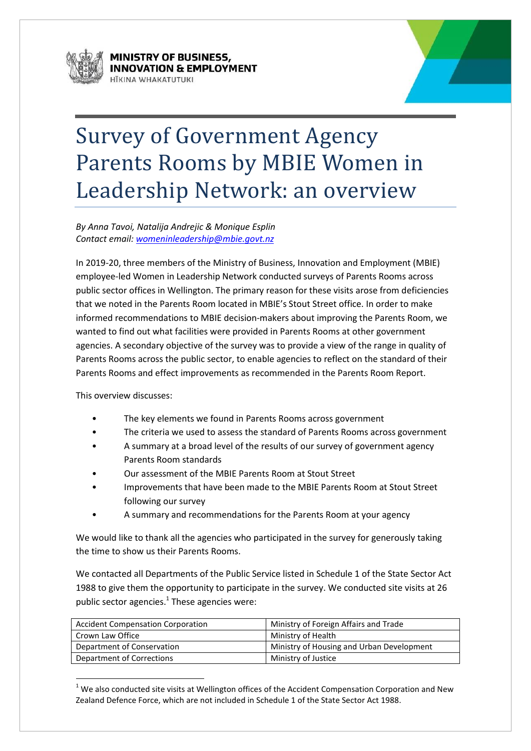



# Survey of Government Agency Parents Rooms by MBIE Women in Leadership Network: an overview

*By Anna Tavoi, Natalija Andrejic & Monique Esplin Contact email: [womeninleadership@mbie.govt.nz](mailto:womeninleadership@mbie.govt.nz)*

In 2019-20, three members of the Ministry of Business, Innovation and Employment (MBIE) employee-led Women in Leadership Network conducted surveys of Parents Rooms across public sector offices in Wellington. The primary reason for these visits arose from deficiencies that we noted in the Parents Room located in MBIE's Stout Street office. In order to make informed recommendations to MBIE decision-makers about improving the Parents Room, we wanted to find out what facilities were provided in Parents Rooms at other government agencies. A secondary objective of the survey was to provide a view of the range in quality of Parents Rooms across the public sector, to enable agencies to reflect on the standard of their Parents Rooms and effect improvements as recommended in the Parents Room Report.

This overview discusses:

**.** 

- The key elements we found in Parents Rooms across government
- The criteria we used to assess the standard of Parents Rooms across government
- A summary at a broad level of the results of our survey of government agency Parents Room standards
- Our assessment of the MBIE Parents Room at Stout Street
- Improvements that have been made to the MBIE Parents Room at Stout Street following our survey
- A summary and recommendations for the Parents Room at your agency

We would like to thank all the agencies who participated in the survey for generously taking the time to show us their Parents Rooms.

We contacted all Departments of the Public Service listed in Schedule 1 of the State Sector Act 1988 to give them the opportunity to participate in the survey. We conducted site visits at 26 public sector agencies. $^1$  These agencies were:

| <b>Accident Compensation Corporation</b> | Ministry of Foreign Affairs and Trade     |
|------------------------------------------|-------------------------------------------|
| Crown Law Office                         | Ministry of Health                        |
| Department of Conservation               | Ministry of Housing and Urban Development |
| Department of Corrections                | Ministry of Justice                       |

 $1$  We also conducted site visits at Wellington offices of the Accident Compensation Corporation and New Zealand Defence Force, which are not included in Schedule 1 of the State Sector Act 1988.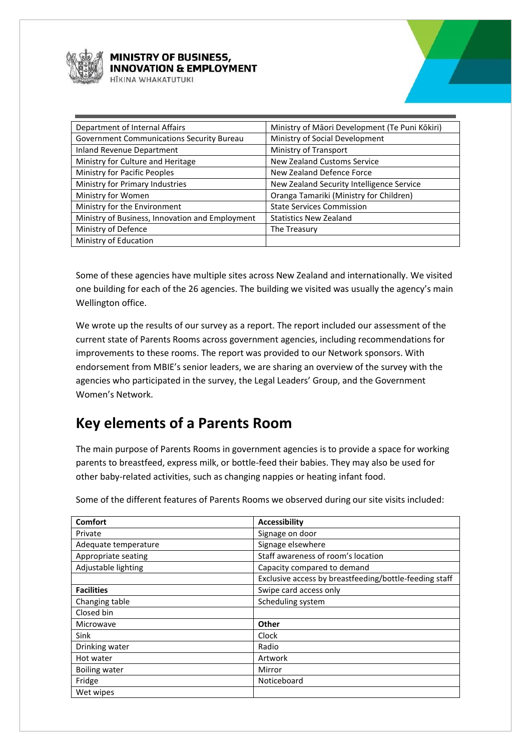

#### **MINISTRY OF BUSINESS, NNOVATION & EMPLOYMENT**

**ITKINA WHAKATIITIIKI** 

| Department of Internal Affairs                   | Ministry of Māori Development (Te Puni Kōkiri) |
|--------------------------------------------------|------------------------------------------------|
| <b>Government Communications Security Bureau</b> | Ministry of Social Development                 |
| Inland Revenue Department                        | Ministry of Transport                          |
| Ministry for Culture and Heritage                | New Zealand Customs Service                    |
| Ministry for Pacific Peoples                     | New Zealand Defence Force                      |
| Ministry for Primary Industries                  | New Zealand Security Intelligence Service      |
| Ministry for Women                               | Oranga Tamariki (Ministry for Children)        |
| Ministry for the Environment                     | <b>State Services Commission</b>               |
| Ministry of Business, Innovation and Employment  | <b>Statistics New Zealand</b>                  |
| Ministry of Defence                              | The Treasury                                   |
| Ministry of Education                            |                                                |

Some of these agencies have multiple sites across New Zealand and internationally. We visited one building for each of the 26 agencies. The building we visited was usually the agency's main Wellington office.

We wrote up the results of our survey as a report. The report included our assessment of the current state of Parents Rooms across government agencies, including recommendations for improvements to these rooms. The report was provided to our Network sponsors. With endorsement from MBIE's senior leaders, we are sharing an overview of the survey with the agencies who participated in the survey, the Legal Leaders' Group, and the Government Women's Network.

# **Key elements of a Parents Room**

The main purpose of Parents Rooms in government agencies is to provide a space for working parents to breastfeed, express milk, or bottle-feed their babies. They may also be used for other baby-related activities, such as changing nappies or heating infant food.

Some of the different features of Parents Rooms we observed during our site visits included:

| <b>Comfort</b>       | <b>Accessibility</b>                                   |
|----------------------|--------------------------------------------------------|
| Private              | Signage on door                                        |
| Adequate temperature | Signage elsewhere                                      |
| Appropriate seating  | Staff awareness of room's location                     |
| Adjustable lighting  | Capacity compared to demand                            |
|                      | Exclusive access by breastfeeding/bottle-feeding staff |
| <b>Facilities</b>    | Swipe card access only                                 |
| Changing table       | Scheduling system                                      |
| Closed bin           |                                                        |
| Microwave            | Other                                                  |
| Sink                 | Clock                                                  |
| Drinking water       | Radio                                                  |
| Hot water            | Artwork                                                |
| <b>Boiling water</b> | Mirror                                                 |
| Fridge               | Noticeboard                                            |
| Wet wipes            |                                                        |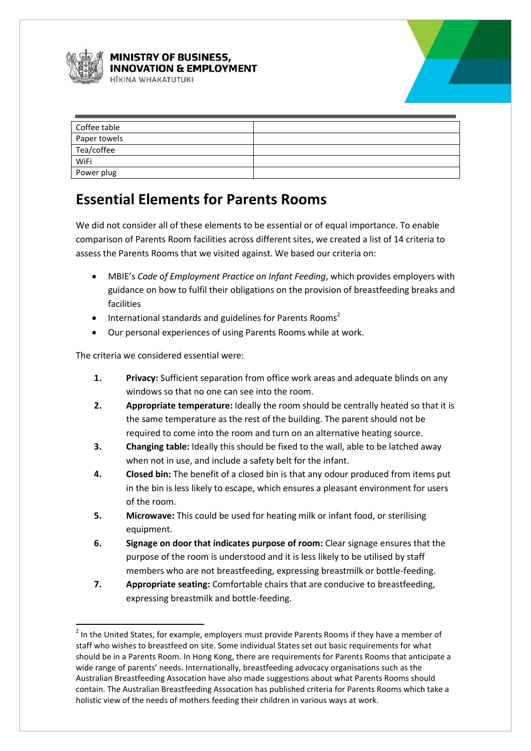

1

#### **MINISTRY OF BUSINESS, NNOVATION & EMPLOYMENT ITKINA WHAKATUTUKI**



| Coffee table |  |
|--------------|--|
| Paper towels |  |
| Tea/coffee   |  |
| WiFi         |  |
| Power plug   |  |

## **Essential Elements for Parents Rooms**

We did not consider all of these elements to be essential or of equal importance. To enable comparison of Parents Room facilities across different sites, we created a list of 14 criteria to assess the Parents Rooms that we visited against. We based our criteria on:

- MBIE's *Code of Employment Practice on Infant Feeding*, which provides employers with guidance on how to fulfil their obligations on the provision of breastfeeding breaks and facilities
- International standards and guidelines for Parents Rooms<sup>2</sup>
- Our personal experiences of using Parents Rooms while at work.

The criteria we considered essential were:

- **1. Privacy:** Sufficient separation from office work areas and adequate blinds on any windows so that no one can see into the room.
- **2. Appropriate temperature:** Ideally the room should be centrally heated so that it is the same temperature as the rest of the building. The parent should not be required to come into the room and turn on an alternative heating source.
- **3. Changing table:** Ideally this should be fixed to the wall, able to be latched away when not in use, and include a safety belt for the infant.
- **4. Closed bin:** The benefit of a closed bin is that any odour produced from items put in the bin is less likely to escape, which ensures a pleasant environment for users of the room.
- **5. Microwave:** This could be used for heating milk or infant food, or sterilising equipment.
- **6. Signage on door that indicates purpose of room:** Clear signage ensures that the purpose of the room is understood and it is less likely to be utilised by staff members who are not breastfeeding, expressing breastmilk or bottle-feeding.
- **7. Appropriate seating:** Comfortable chairs that are conducive to breastfeeding, expressing breastmilk and bottle-feeding.

<sup>&</sup>lt;sup>2</sup> In the United States, for example, employers must provide Parents Rooms if they have a member of staff who wishes to breastfeed on site. Some individual States set out basic requirements for what should be in a Parents Room. In Hong Kong, there are requirements for Parents Rooms that anticipate a wide range of parents' needs. Internationally, breastfeeding advocacy organisations such as the Australian Breastfeeding Assocation have also made suggestions about what Parents Rooms should contain. The Australian Breastfeeding Assocation has published criteria for Parents Rooms which take a holistic view of the needs of mothers feeding their children in various ways at work.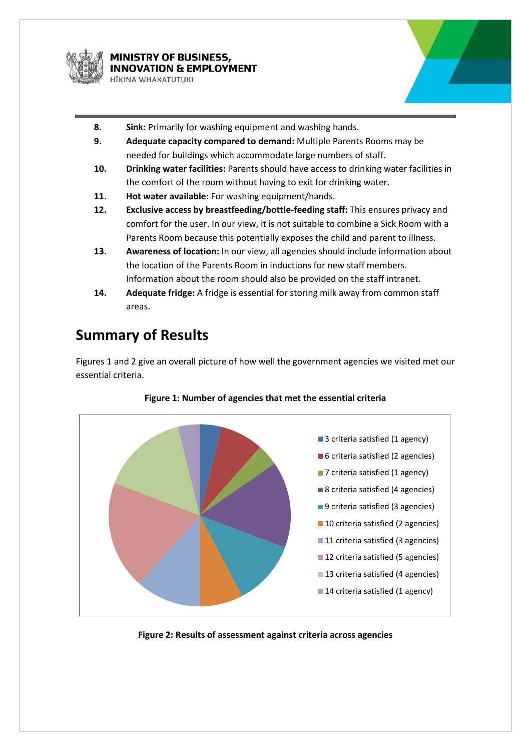



- **8. Sink:** Primarily for washing equipment and washing hands.
- **9. Adequate capacity compared to demand:** Multiple Parents Rooms may be needed for buildings which accommodate large numbers of staff.
- **10. Drinking water facilities:** Parents should have access to drinking water facilities in the comfort of the room without having to exit for drinking water.
- **11. Hot water available:** For washing equipment/hands.
- **12. Exclusive access by breastfeeding/bottle-feeding staff:** This ensures privacy and comfort for the user. In our view, it is not suitable to combine a Sick Room with a Parents Room because this potentially exposes the child and parent to illness.
- **13. Awareness of location:** In our view, all agencies should include information about the location of the Parents Room in inductions for new staff members. Information about the room should also be provided on the staff intranet.
- **14. Adequate fridge:** A fridge is essential for storing milk away from common staff areas.

### **Summary of Results**

Figures 1 and 2 give an overall picture of how well the government agencies we visited met our essential criteria.



#### **Figure 1: Number of agencies that met the essential criteria**

**Figure 2: Results of assessment against criteria across agencies**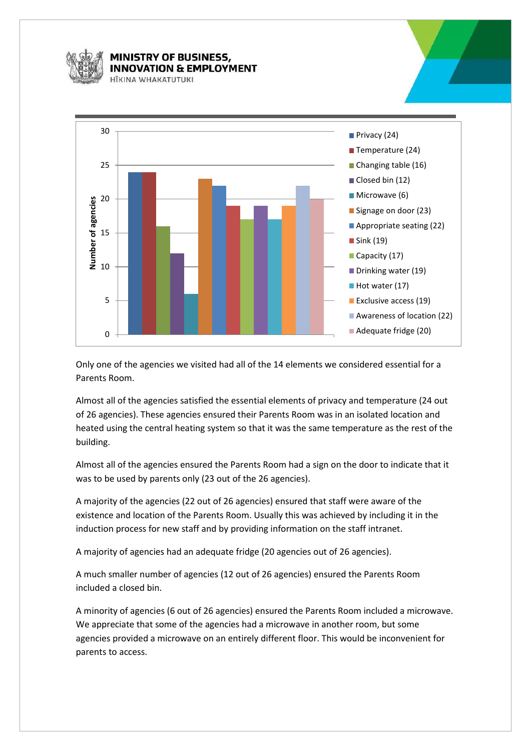

#### **MINISTRY OF BUSINESS, NOVATION & EMPLOYMENT IIKINA WHAKATIITIIKI**



Only one of the agencies we visited had all of the 14 elements we considered essential for a Parents Room.

Almost all of the agencies satisfied the essential elements of privacy and temperature (24 out of 26 agencies). These agencies ensured their Parents Room was in an isolated location and heated using the central heating system so that it was the same temperature as the rest of the building.

Almost all of the agencies ensured the Parents Room had a sign on the door to indicate that it was to be used by parents only (23 out of the 26 agencies).

A majority of the agencies (22 out of 26 agencies) ensured that staff were aware of the existence and location of the Parents Room. Usually this was achieved by including it in the induction process for new staff and by providing information on the staff intranet.

A majority of agencies had an adequate fridge (20 agencies out of 26 agencies).

A much smaller number of agencies (12 out of 26 agencies) ensured the Parents Room included a closed bin.

A minority of agencies (6 out of 26 agencies) ensured the Parents Room included a microwave. We appreciate that some of the agencies had a microwave in another room, but some agencies provided a microwave on an entirely different floor. This would be inconvenient for parents to access.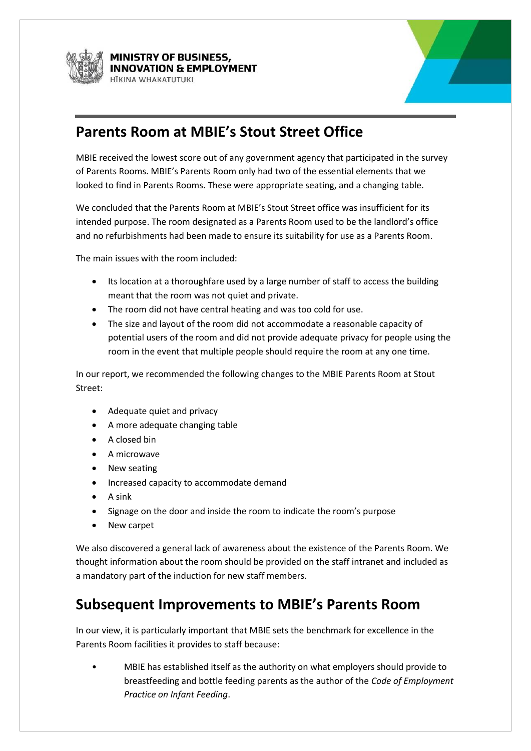



### **Parents Room at MBIE's Stout Street Office**

MBIE received the lowest score out of any government agency that participated in the survey of Parents Rooms. MBIE's Parents Room only had two of the essential elements that we looked to find in Parents Rooms. These were appropriate seating, and a changing table.

We concluded that the Parents Room at MBIE's Stout Street office was insufficient for its intended purpose. The room designated as a Parents Room used to be the landlord's office and no refurbishments had been made to ensure its suitability for use as a Parents Room.

The main issues with the room included:

- Its location at a thoroughfare used by a large number of staff to access the building meant that the room was not quiet and private.
- The room did not have central heating and was too cold for use.
- The size and layout of the room did not accommodate a reasonable capacity of potential users of the room and did not provide adequate privacy for people using the room in the event that multiple people should require the room at any one time.

In our report, we recommended the following changes to the MBIE Parents Room at Stout Street:

- Adequate quiet and privacy
- A more adequate changing table
- A closed bin
- A microwave
- New seating
- Increased capacity to accommodate demand
- $\bullet$  A sink
- Signage on the door and inside the room to indicate the room's purpose
- New carpet

We also discovered a general lack of awareness about the existence of the Parents Room. We thought information about the room should be provided on the staff intranet and included as a mandatory part of the induction for new staff members.

### **Subsequent Improvements to MBIE's Parents Room**

In our view, it is particularly important that MBIE sets the benchmark for excellence in the Parents Room facilities it provides to staff because:

• MBIE has established itself as the authority on what employers should provide to breastfeeding and bottle feeding parents as the author of the *Code of Employment Practice on Infant Feeding*.